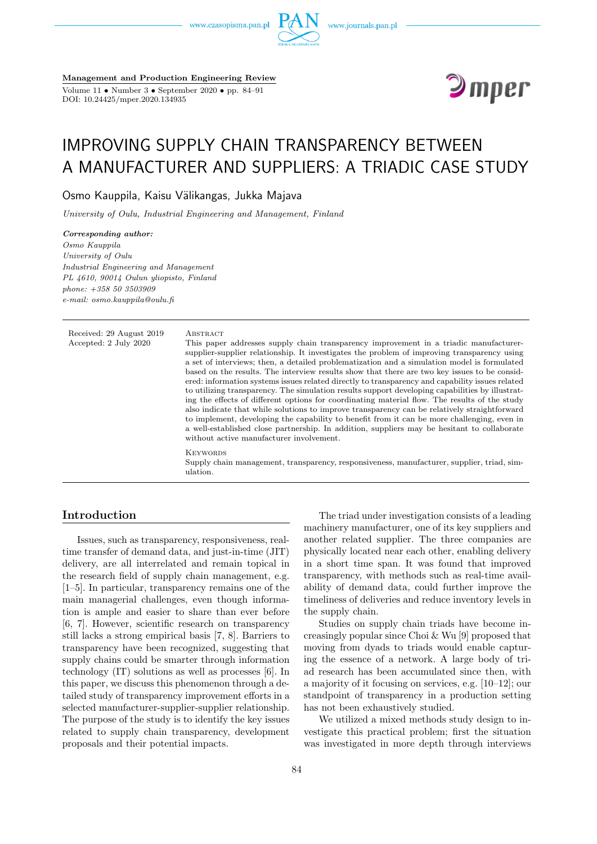www.czasopisma.pan.pl



**Management and Production Engineering Review** Volume 11 • Number 3 • September 2020 • pp. 84–91

DOI: 10.24425/mper.2020.134935



# IMPROVING SUPPLY CHAIN TRANSPARENCY BETWEEN A MANUFACTURER AND SUPPLIERS: A TRIADIC CASE STUDY

Osmo Kauppila, Kaisu Välikangas, Jukka Majava

*University of Oulu, Industrial Engineering and Management, Finland*

*Corresponding author: Osmo Kauppila University of Oulu Industrial Engineering and Management PL 4610, 90014 Oulun yliopisto, Finland phone: +358 50 3503909 e-mail: osmo.kauppila@oulu.fi*

Received: 29 August 2019 ABSTRACT Accepted: 2 July 2020 This paper addresses supply chain transparency improvement in a triadic manufacturersupplier-supplier relationship. It investigates the problem of improving transparency using a set of interviews; then, a detailed problematization and a simulation model is formulated based on the results. The interview results show that there are two key issues to be considered: information systems issues related directly to transparency and capability issues related to utilizing transparency. The simulation results support developing capabilities by illustrating the effects of different options for coordinating material flow. The results of the study also indicate that while solutions to improve transparency can be relatively straightforward to implement, developing the capability to benefit from it can be more challenging, even in a well-established close partnership. In addition, suppliers may be hesitant to collaborate without active manufacturer involvement. **KEYWORDS** Supply chain management, transparency, responsiveness, manufacturer, supplier, triad, simulation.

# **Introduction**

Issues, such as transparency, responsiveness, realtime transfer of demand data, and just-in-time (JIT) delivery, are all interrelated and remain topical in the research field of supply chain management, e.g. [1–5]. In particular, transparency remains one of the main managerial challenges, even though information is ample and easier to share than ever before [6, 7]. However, scientific research on transparency still lacks a strong empirical basis [7, 8]. Barriers to transparency have been recognized, suggesting that supply chains could be smarter through information technology (IT) solutions as well as processes [6]. In this paper, we discuss this phenomenon through a detailed study of transparency improvement efforts in a selected manufacturer-supplier-supplier relationship. The purpose of the study is to identify the key issues related to supply chain transparency, development proposals and their potential impacts.

The triad under investigation consists of a leading machinery manufacturer, one of its key suppliers and another related supplier. The three companies are physically located near each other, enabling delivery in a short time span. It was found that improved transparency, with methods such as real-time availability of demand data, could further improve the timeliness of deliveries and reduce inventory levels in the supply chain.

Studies on supply chain triads have become increasingly popular since Choi & Wu [9] proposed that moving from dyads to triads would enable capturing the essence of a network. A large body of triad research has been accumulated since then, with a majority of it focusing on services, e.g. [10–12]; our standpoint of transparency in a production setting has not been exhaustively studied.

We utilized a mixed methods study design to investigate this practical problem; first the situation was investigated in more depth through interviews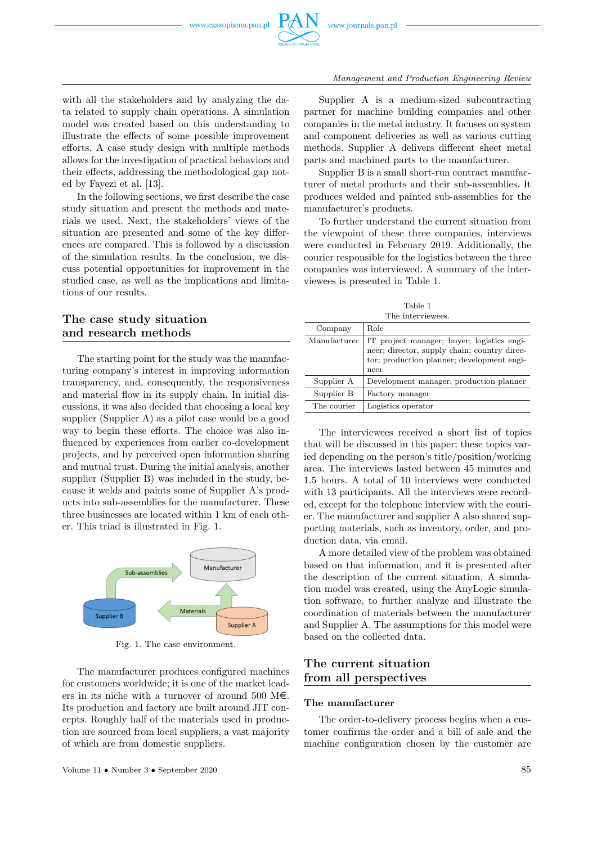

with all the stakeholders and by analyzing the data related to supply chain operations. A simulation model was created based on this understanding to illustrate the effects of some possible improvement efforts. A case study design with multiple methods allows for the investigation of practical behaviors and their effects, addressing the methodological gap noted by Fayezi et al. [13].

In the following sections, we first describe the case study situation and present the methods and materials we used. Next, the stakeholders' views of the situation are presented and some of the key differences are compared. This is followed by a discussion of the simulation results. In the conclusion, we discuss potential opportunities for improvement in the studied case, as well as the implications and limitations of our results.

# **The case study situation and research methods**

The starting point for the study was the manufacturing company's interest in improving information transparency, and, consequently, the responsiveness and material flow in its supply chain. In initial discussions, it was also decided that choosing a local key supplier (Supplier A) as a pilot case would be a good way to begin these efforts. The choice was also influenced by experiences from earlier co-development projects, and by perceived open information sharing and mutual trust. During the initial analysis, another supplier (Supplier B) was included in the study, because it welds and paints some of Supplier A's products into sub-assemblies for the manufacturer. These three businesses are located within 1 km of each other. This triad is illustrated in Fig. 1.



Fig. 1. The case environment.

The manufacturer produces configured machines for customers worldwide; it is one of the market leaders in its niche with a turnover of around 500 M $\epsilon$ . Its production and factory are built around JIT concepts. Roughly half of the materials used in production are sourced from local suppliers, a vast majority of which are from domestic suppliers.

Supplier A is a medium-sized subcontracting partner for machine building companies and other companies in the metal industry. It focuses on system and component deliveries as well as various cutting methods. Supplier A delivers different sheet metal parts and machined parts to the manufacturer.

Supplier B is a small short-run contract manufacturer of metal products and their sub-assemblies. It produces welded and painted sub-assemblies for the manufacturer's products.

To further understand the current situation from the viewpoint of these three companies, interviews were conducted in February 2019. Additionally, the courier responsible for the logistics between the three companies was interviewed. A summary of the interviewees is presented in Table 1.

Table 1 The interview

| $\pm$ 110 111001 victor 1000 |                                                                                                                                                  |  |
|------------------------------|--------------------------------------------------------------------------------------------------------------------------------------------------|--|
| Company                      | Role                                                                                                                                             |  |
| Manufacturer                 | IT project manager; buyer; logistics engi-<br>neer; director, supply chain; country direc-<br>tor; production planner; development engi-<br>neer |  |
| Supplier A                   | Development manager, production planner                                                                                                          |  |
| Supplier B                   | Factory manager                                                                                                                                  |  |
| The courier                  | Logistics operator                                                                                                                               |  |

The interviewees received a short list of topics that will be discussed in this paper; these topics varied depending on the person's title/position/working area. The interviews lasted between 45 minutes and 1.5 hours. A total of 10 interviews were conducted with 13 participants. All the interviews were recorded, except for the telephone interview with the courier. The manufacturer and supplier A also shared supporting materials, such as inventory, order, and production data, via email.

A more detailed view of the problem was obtained based on that information, and it is presented after the description of the current situation. A simulation model was created, using the AnyLogic simulation software, to further analyze and illustrate the coordination of materials between the manufacturer and Supplier A. The assumptions for this model were based on the collected data.

# **The current situation from all perspectives**

#### **The manufacturer**

The order-to-delivery process begins when a customer confirms the order and a bill of sale and the machine configuration chosen by the customer are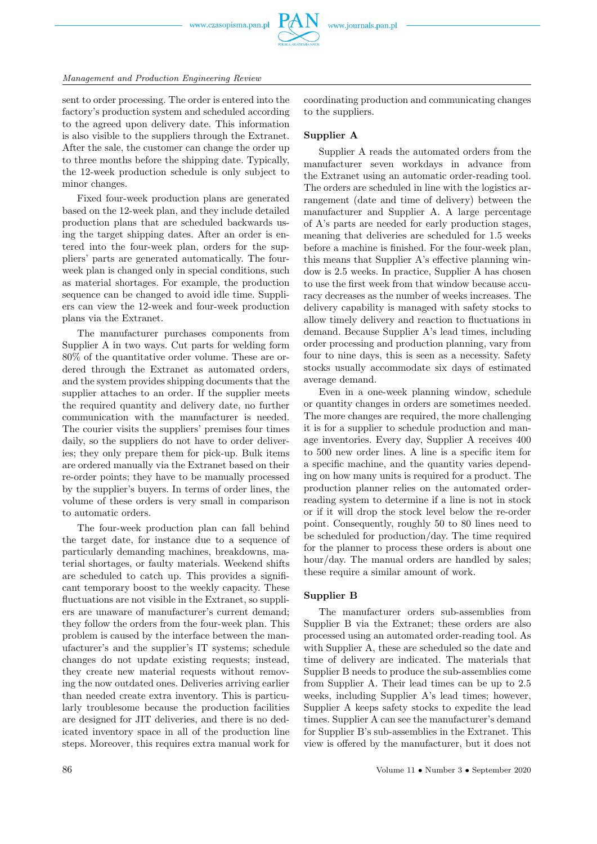

sent to order processing. The order is entered into the factory's production system and scheduled according to the agreed upon delivery date. This information is also visible to the suppliers through the Extranet. After the sale, the customer can change the order up to three months before the shipping date. Typically, the 12-week production schedule is only subject to minor changes.

Fixed four-week production plans are generated based on the 12-week plan, and they include detailed production plans that are scheduled backwards using the target shipping dates. After an order is entered into the four-week plan, orders for the suppliers' parts are generated automatically. The fourweek plan is changed only in special conditions, such as material shortages. For example, the production sequence can be changed to avoid idle time. Suppliers can view the 12-week and four-week production plans via the Extranet.

The manufacturer purchases components from Supplier A in two ways. Cut parts for welding form 80% of the quantitative order volume. These are ordered through the Extranet as automated orders, and the system provides shipping documents that the supplier attaches to an order. If the supplier meets the required quantity and delivery date, no further communication with the manufacturer is needed. The courier visits the suppliers' premises four times daily, so the suppliers do not have to order deliveries; they only prepare them for pick-up. Bulk items are ordered manually via the Extranet based on their re-order points; they have to be manually processed by the supplier's buyers. In terms of order lines, the volume of these orders is very small in comparison to automatic orders.

The four-week production plan can fall behind the target date, for instance due to a sequence of particularly demanding machines, breakdowns, material shortages, or faulty materials. Weekend shifts are scheduled to catch up. This provides a significant temporary boost to the weekly capacity. These fluctuations are not visible in the Extranet, so suppliers are unaware of manufacturer's current demand; they follow the orders from the four-week plan. This problem is caused by the interface between the manufacturer's and the supplier's IT systems; schedule changes do not update existing requests; instead, they create new material requests without removing the now outdated ones. Deliveries arriving earlier than needed create extra inventory. This is particularly troublesome because the production facilities are designed for JIT deliveries, and there is no dedicated inventory space in all of the production line steps. Moreover, this requires extra manual work for

coordinating production and communicating changes to the suppliers.

## **Supplier A**

Supplier A reads the automated orders from the manufacturer seven workdays in advance from the Extranet using an automatic order-reading tool. The orders are scheduled in line with the logistics arrangement (date and time of delivery) between the manufacturer and Supplier A. A large percentage of A's parts are needed for early production stages, meaning that deliveries are scheduled for 1.5 weeks before a machine is finished. For the four-week plan, this means that Supplier A's effective planning window is 2.5 weeks. In practice, Supplier A has chosen to use the first week from that window because accuracy decreases as the number of weeks increases. The delivery capability is managed with safety stocks to allow timely delivery and reaction to fluctuations in demand. Because Supplier A's lead times, including order processing and production planning, vary from four to nine days, this is seen as a necessity. Safety stocks usually accommodate six days of estimated average demand.

Even in a one-week planning window, schedule or quantity changes in orders are sometimes needed. The more changes are required, the more challenging it is for a supplier to schedule production and manage inventories. Every day, Supplier A receives 400 to 500 new order lines. A line is a specific item for a specific machine, and the quantity varies depending on how many units is required for a product. The production planner relies on the automated orderreading system to determine if a line is not in stock or if it will drop the stock level below the re-order point. Consequently, roughly 50 to 80 lines need to be scheduled for production/day. The time required for the planner to process these orders is about one hour/day. The manual orders are handled by sales: these require a similar amount of work.

#### **Supplier B**

The manufacturer orders sub-assemblies from Supplier B via the Extranet; these orders are also processed using an automated order-reading tool. As with Supplier A, these are scheduled so the date and time of delivery are indicated. The materials that Supplier B needs to produce the sub-assemblies come from Supplier A. Their lead times can be up to 2.5 weeks, including Supplier A's lead times; however, Supplier A keeps safety stocks to expedite the lead times. Supplier A can see the manufacturer's demand for Supplier B's sub-assemblies in the Extranet. This view is offered by the manufacturer, but it does not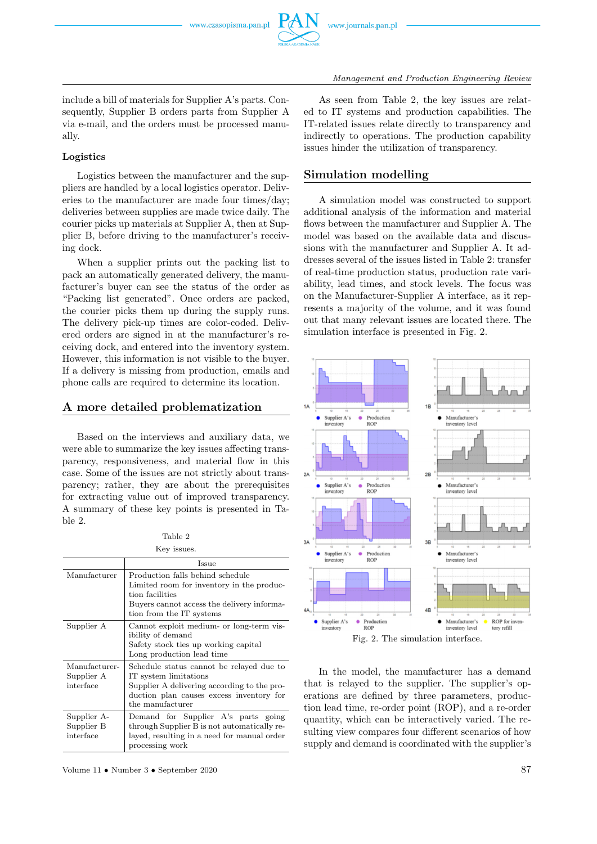include a bill of materials for Supplier A's parts. Consequently, Supplier B orders parts from Supplier A via e-mail, and the orders must be processed manually.

#### **Logistics**

Logistics between the manufacturer and the suppliers are handled by a local logistics operator. Deliveries to the manufacturer are made four times/day; deliveries between supplies are made twice daily. The courier picks up materials at Supplier A, then at Supplier B, before driving to the manufacturer's receiving dock.

When a supplier prints out the packing list to pack an automatically generated delivery, the manufacturer's buyer can see the status of the order as "Packing list generated". Once orders are packed, the courier picks them up during the supply runs. The delivery pick-up times are color-coded. Delivered orders are signed in at the manufacturer's receiving dock, and entered into the inventory system. However, this information is not visible to the buyer. If a delivery is missing from production, emails and phone calls are required to determine its location.

### **A more detailed problematization**

Based on the interviews and auxiliary data, we were able to summarize the key issues affecting transparency, responsiveness, and material flow in this case. Some of the issues are not strictly about transparency; rather, they are about the prerequisites for extracting value out of improved transparency. A summary of these key points is presented in Table 2.

Table 2 Key issues.

| ILOY IDDUODI                             |                                                                                                                                                                                  |  |  |
|------------------------------------------|----------------------------------------------------------------------------------------------------------------------------------------------------------------------------------|--|--|
|                                          | Issue                                                                                                                                                                            |  |  |
| Manufacturer                             | Production falls behind schedule<br>Limited room for inventory in the produc-<br>tion facilities<br>Buyers cannot access the delivery informa-<br>tion from the IT systems       |  |  |
| Supplier A                               | Cannot exploit medium- or long-term vis-<br>ibility of demand<br>Safety stock ties up working capital<br>Long production lead time                                               |  |  |
| Manufacturer-<br>Supplier A<br>interface | Schedule status cannot be relayed due to<br>IT system limitations<br>Supplier A delivering according to the pro-<br>duction plan causes excess inventory for<br>the manufacturer |  |  |
| Supplier A-<br>Supplier B<br>interface   | Demand for Supplier A's parts going<br>through Supplier B is not automatically re-<br>layed, resulting in a need for manual order<br>processing work                             |  |  |

Volume 11 • Number 3 • September 2020 87

As seen from Table 2, the key issues are related to IT systems and production capabilities. The IT-related issues relate directly to transparency and indirectly to operations. The production capability issues hinder the utilization of transparency.

## **Simulation modelling**

A simulation model was constructed to support additional analysis of the information and material flows between the manufacturer and Supplier A. The model was based on the available data and discussions with the manufacturer and Supplier A. It addresses several of the issues listed in Table 2: transfer of real-time production status, production rate variability, lead times, and stock levels. The focus was on the Manufacturer-Supplier A interface, as it represents a majority of the volume, and it was found out that many relevant issues are located there. The simulation interface is presented in Fig. 2.



In the model, the manufacturer has a demand that is relayed to the supplier. The supplier's operations are defined by three parameters, production lead time, re-order point (ROP), and a re-order quantity, which can be interactively varied. The resulting view compares four different scenarios of how supply and demand is coordinated with the supplier's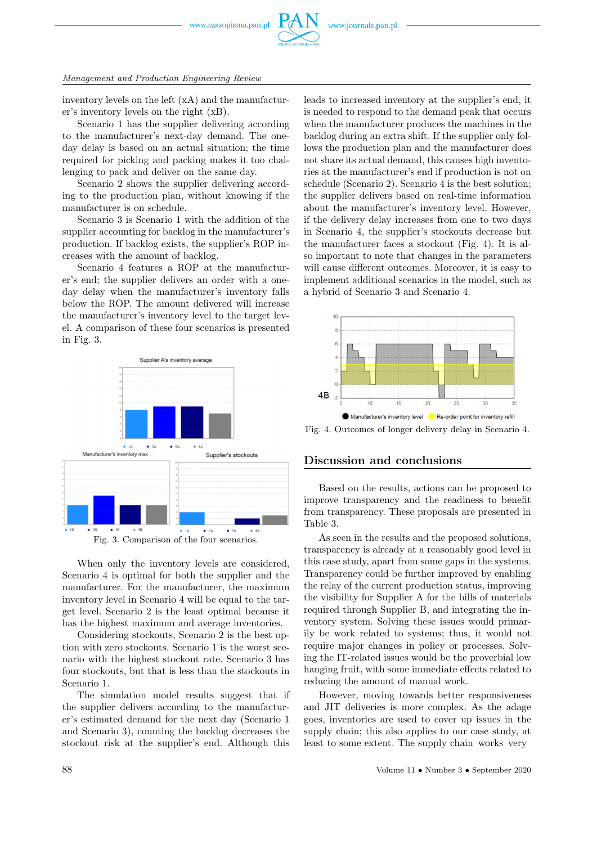

inventory levels on the left (xA) and the manufacturer's inventory levels on the right (xB).

Scenario 1 has the supplier delivering according to the manufacturer's next-day demand. The oneday delay is based on an actual situation; the time required for picking and packing makes it too challenging to pack and deliver on the same day.

Scenario 2 shows the supplier delivering according to the production plan, without knowing if the manufacturer is on schedule.

Scenario 3 is Scenario 1 with the addition of the supplier accounting for backlog in the manufacturer's production. If backlog exists, the supplier's ROP increases with the amount of backlog.

Scenario 4 features a ROP at the manufacturer's end; the supplier delivers an order with a oneday delay when the manufacturer's inventory falls below the ROP. The amount delivered will increase the manufacturer's inventory level to the target level. A comparison of these four scenarios is presented in Fig. 3.



Fig. 3. Comparison of the four scenarios.

When only the inventory levels are considered, Scenario 4 is optimal for both the supplier and the manufacturer. For the manufacturer, the maximum inventory level in Scenario 4 will be equal to the target level. Scenario 2 is the least optimal because it has the highest maximum and average inventories.

Considering stockouts, Scenario 2 is the best option with zero stockouts. Scenario 1 is the worst scenario with the highest stockout rate. Scenario 3 has four stockouts, but that is less than the stockouts in Scenario 1.

The simulation model results suggest that if the supplier delivers according to the manufacturer's estimated demand for the next day (Scenario 1 and Scenario 3), counting the backlog decreases the stockout risk at the supplier's end. Although this

leads to increased inventory at the supplier's end, it is needed to respond to the demand peak that occurs when the manufacturer produces the machines in the backlog during an extra shift. If the supplier only follows the production plan and the manufacturer does not share its actual demand, this causes high inventories at the manufacturer's end if production is not on schedule (Scenario 2). Scenario 4 is the best solution; the supplier delivers based on real-time information about the manufacturer's inventory level. However, if the delivery delay increases from one to two days in Scenario 4, the supplier's stockouts decrease but the manufacturer faces a stockout (Fig. 4). It is also important to note that changes in the parameters will cause different outcomes. Moreover, it is easy to implement additional scenarios in the model, such as a hybrid of Scenario 3 and Scenario 4.



Fig. 4. Outcomes of longer delivery delay in Scenario 4.

#### **Discussion and conclusions**

Based on the results, actions can be proposed to improve transparency and the readiness to benefit from transparency. These proposals are presented in Table 3.

As seen in the results and the proposed solutions, transparency is already at a reasonably good level in this case study, apart from some gaps in the systems. Transparency could be further improved by enabling the relay of the current production status, improving the visibility for Supplier A for the bills of materials required through Supplier B, and integrating the inventory system. Solving these issues would primarily be work related to systems; thus, it would not require major changes in policy or processes. Solving the IT-related issues would be the proverbial low hanging fruit, with some immediate effects related to reducing the amount of manual work.

However, moving towards better responsiveness and JIT deliveries is more complex. As the adage goes, inventories are used to cover up issues in the supply chain; this also applies to our case study, at least to some extent. The supply chain works very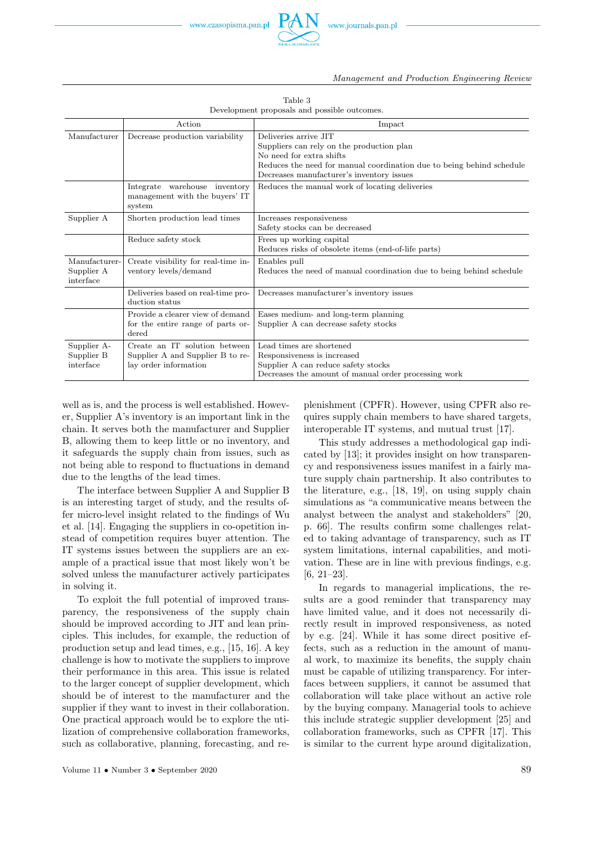| Development proposals and possible outcomes. |                                                                                            |                                                                                                                                                                                                                      |  |
|----------------------------------------------|--------------------------------------------------------------------------------------------|----------------------------------------------------------------------------------------------------------------------------------------------------------------------------------------------------------------------|--|
|                                              | Action                                                                                     | Impact                                                                                                                                                                                                               |  |
| Manufacturer                                 | Decrease production variability                                                            | Deliveries arrive JIT<br>Suppliers can rely on the production plan<br>No need for extra shifts<br>Reduces the need for manual coordination due to being behind schedule<br>Decreases manufacturer's inventory issues |  |
|                                              | Integrate warehouse inventory<br>management with the buyers' IT<br>system                  | Reduces the manual work of locating deliveries                                                                                                                                                                       |  |
| Supplier A                                   | Shorten production lead times                                                              | Increases responsiveness<br>Safety stocks can be decreased                                                                                                                                                           |  |
|                                              | Reduce safety stock                                                                        | Frees up working capital<br>Reduces risks of obsolete items (end-of-life parts)                                                                                                                                      |  |
| Manufacturer-<br>Supplier A<br>interface     | Create visibility for real-time in-<br>ventory levels/demand                               | Enables pull<br>Reduces the need of manual coordination due to being behind schedule                                                                                                                                 |  |
|                                              | Deliveries based on real-time pro-<br>duction status                                       | Decreases manufacturer's inventory issues                                                                                                                                                                            |  |
|                                              | Provide a clearer view of demand<br>for the entire range of parts or-<br>dered             | Eases medium- and long-term planning<br>Supplier A can decrease safety stocks                                                                                                                                        |  |
| Supplier A-<br>Supplier B<br>interface       | Create an IT solution between<br>Supplier A and Supplier B to re-<br>lay order information | Lead times are shortened<br>Responsiveness is increased<br>Supplier A can reduce safety stocks<br>Decreases the amount of manual order processing work                                                               |  |

Table 3

well as is, and the process is well established. However, Supplier A's inventory is an important link in the chain. It serves both the manufacturer and Supplier B, allowing them to keep little or no inventory, and it safeguards the supply chain from issues, such as not being able to respond to fluctuations in demand due to the lengths of the lead times.

The interface between Supplier A and Supplier B is an interesting target of study, and the results offer micro-level insight related to the findings of Wu et al. [14]. Engaging the suppliers in co-opetition instead of competition requires buyer attention. The IT systems issues between the suppliers are an example of a practical issue that most likely won't be solved unless the manufacturer actively participates in solving it.

To exploit the full potential of improved transparency, the responsiveness of the supply chain should be improved according to JIT and lean principles. This includes, for example, the reduction of production setup and lead times, e.g., [15, 16]. A key challenge is how to motivate the suppliers to improve their performance in this area. This issue is related to the larger concept of supplier development, which should be of interest to the manufacturer and the supplier if they want to invest in their collaboration. One practical approach would be to explore the utilization of comprehensive collaboration frameworks, such as collaborative, planning, forecasting, and replenishment (CPFR). However, using CPFR also requires supply chain members to have shared targets, interoperable IT systems, and mutual trust [17].

This study addresses a methodological gap indicated by [13]; it provides insight on how transparency and responsiveness issues manifest in a fairly mature supply chain partnership. It also contributes to the literature, e.g., [18, 19], on using supply chain simulations as "a communicative means between the analyst between the analyst and stakeholders" [20, p. 66]. The results confirm some challenges related to taking advantage of transparency, such as IT system limitations, internal capabilities, and motivation. These are in line with previous findings, e.g. [6, 21–23].

In regards to managerial implications, the results are a good reminder that transparency may have limited value, and it does not necessarily directly result in improved responsiveness, as noted by e.g. [24]. While it has some direct positive effects, such as a reduction in the amount of manual work, to maximize its benefits, the supply chain must be capable of utilizing transparency. For interfaces between suppliers, it cannot be assumed that collaboration will take place without an active role by the buying company. Managerial tools to achieve this include strategic supplier development [25] and collaboration frameworks, such as CPFR [17]. This is similar to the current hype around digitalization,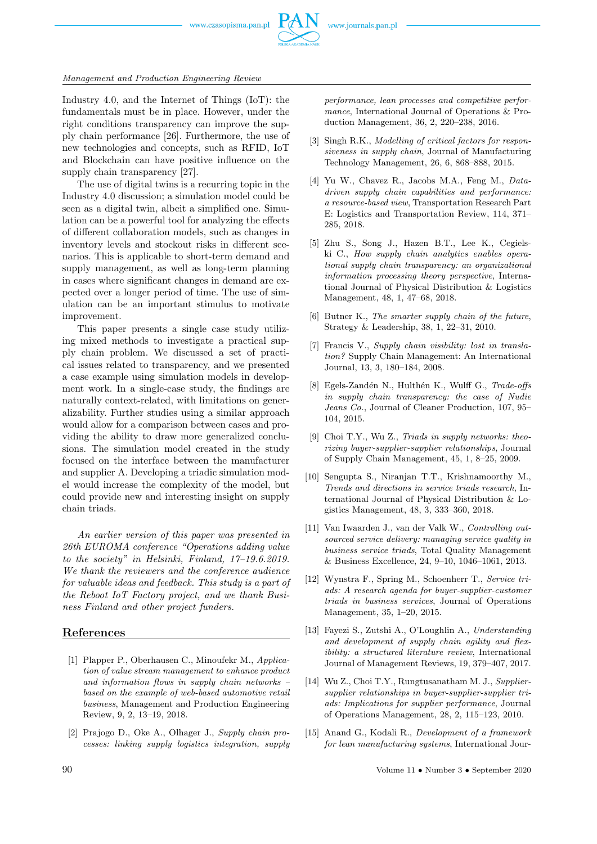www.czasopisma.pan.pl



#### *Management and Production Engineering Review*

Industry 4.0, and the Internet of Things (IoT): the fundamentals must be in place. However, under the right conditions transparency can improve the supply chain performance [26]. Furthermore, the use of new technologies and concepts, such as RFID, IoT and Blockchain can have positive influence on the supply chain transparency [27].

The use of digital twins is a recurring topic in the Industry 4.0 discussion; a simulation model could be seen as a digital twin, albeit a simplified one. Simulation can be a powerful tool for analyzing the effects of different collaboration models, such as changes in inventory levels and stockout risks in different scenarios. This is applicable to short-term demand and supply management, as well as long-term planning in cases where significant changes in demand are expected over a longer period of time. The use of simulation can be an important stimulus to motivate improvement.

This paper presents a single case study utilizing mixed methods to investigate a practical supply chain problem. We discussed a set of practical issues related to transparency, and we presented a case example using simulation models in development work. In a single-case study, the findings are naturally context-related, with limitations on generalizability. Further studies using a similar approach would allow for a comparison between cases and providing the ability to draw more generalized conclusions. The simulation model created in the study focused on the interface between the manufacturer and supplier A. Developing a triadic simulation model would increase the complexity of the model, but could provide new and interesting insight on supply chain triads.

*An earlier version of this paper was presented in 26th EUROMA conference "Operations adding value to the society" in Helsinki, Finland, 17–19.6.2019. We thank the reviewers and the conference audience for valuable ideas and feedback. This study is a part of the Reboot IoT Factory project, and we thank Business Finland and other project funders.*

## **References**

- [1] Plapper P., Oberhausen C., Minoufekr M., *Application of value stream management to enhance product and information flows in supply chain networks – based on the example of web-based automotive retail business*, Management and Production Engineering Review, 9, 2, 13–19, 2018.
- [2] Prajogo D., Oke A., Olhager J., *Supply chain processes: linking supply logistics integration, supply*

*performance, lean processes and competitive performance*, International Journal of Operations & Production Management, 36, 2, 220–238, 2016.

- [3] Singh R.K., *Modelling of critical factors for responsiveness in supply chain*, Journal of Manufacturing Technology Management, 26, 6, 868–888, 2015.
- [4] Yu W., Chavez R., Jacobs M.A., Feng M., *Datadriven supply chain capabilities and performance: a resource-based view*, Transportation Research Part E: Logistics and Transportation Review, 114, 371– 285, 2018.
- [5] Zhu S., Song J., Hazen B.T., Lee K., Cegielski C., *How supply chain analytics enables operational supply chain transparency: an organizational information processing theory perspective*, International Journal of Physical Distribution & Logistics Management, 48, 1, 47–68, 2018.
- [6] Butner K., *The smarter supply chain of the future*, Strategy & Leadership, 38, 1, 22–31, 2010.
- [7] Francis V., *Supply chain visibility: lost in translation?* Supply Chain Management: An International Journal, 13, 3, 180–184, 2008.
- [8] Egels-Zandén N., Hulthén K., Wulff G., *Trade-offs in supply chain transparency: the case of Nudie Jeans Co.*, Journal of Cleaner Production, 107, 95– 104, 2015.
- [9] Choi T.Y., Wu Z., *Triads in supply networks: theorizing buyer-supplier-supplier relationships*, Journal of Supply Chain Management, 45, 1, 8–25, 2009.
- [10] Sengupta S., Niranjan T.T., Krishnamoorthy M., *Trends and directions in service triads research*, International Journal of Physical Distribution & Logistics Management, 48, 3, 333–360, 2018.
- [11] Van Iwaarden J., van der Valk W., *Controlling outsourced service delivery: managing service quality in business service triads*, Total Quality Management & Business Excellence, 24, 9–10, 1046–1061, 2013.
- [12] Wynstra F., Spring M., Schoenherr T., *Service triads: A research agenda for buyer-supplier-customer triads in business services*, Journal of Operations Management, 35, 1–20, 2015.
- [13] Fayezi S., Zutshi A., O'Loughlin A., *Understanding and development of supply chain agility and flexibility: a structured literature review*, International Journal of Management Reviews, 19, 379–407, 2017.
- [14] Wu Z., Choi T.Y., Rungtusanatham M. J., *Suppliersupplier relationships in buyer-supplier-supplier triads: Implications for supplier performance*, Journal of Operations Management, 28, 2, 115–123, 2010.
- [15] Anand G., Kodali R., *Development of a framework for lean manufacturing systems*, International Jour-